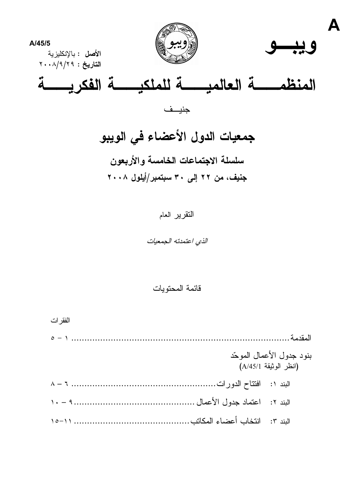



النقرير العام

الذي اعتمدته الجمعيات

قائمة المحتوبات

الفقر ات

|  | بنود جدول الأعمال الموحّد<br>(انظر الوثيقة A/45/1) |
|--|----------------------------------------------------|
|  |                                                    |
|  |                                                    |
|  |                                                    |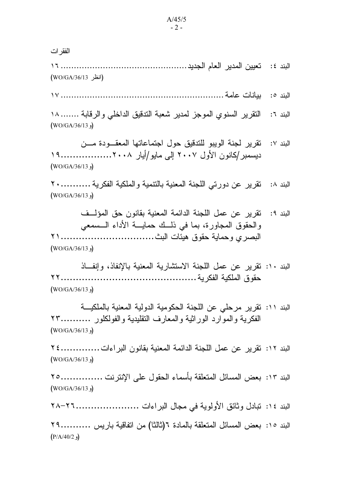الفقر ات (انظر WO/GA/36/13) البند ٦: النقر ير السنو ي الموجز لمدير شعبة الندقيق الداخلي و الر قابة ....... ١٨  $(WO/GA/36/13)$ تقرير لجنة الوبيو للتدقيق حول اجتماعاتها المعقبودة مسن الىند ٧:  $(WO/GA/36/13)$ البند ٨: تقرير عن دورتي اللجنة المعنية بالنتمية والملكية الفكرية ...............٢ ( $WO/GA/36/13$ ) البند ٩: تقرير عن عمل اللجنة الدائمة المعنية بقانون حق المؤلَّــف والحقوق المجاورة، بما في ذلك حمايسة الأداء السمعي  $(WO/GA/36/13)$ البند ١٠: نقرير عن عمل اللجنة الاستشارية المعنية بالإنفاذ، وإنفاذ  $(WO/GA/36/13)$ البند ١١: نقرير مرحلي عن اللجنة الحكومية الدولية المعنية بالملكيسة الفكرية والموارد الوراثية والمعارف النقليدية والفولكلور ...........٢٣ (و WO/GA/36/13) البند ١٢: تقرير عن عمل اللجنة الدائمة المعنية بقانون البر اءات................٢٤ (WO/GA/36/13) البند ١٣: بعض المسائل المتعلقة بأسماء الحقول على الإنتر نت ...............٢٥  $(WO/GA/36/13)$ البند ١٤: تبادل وثائق الأولوية في مجال البراءات .........................٢٦-٢٨ البند 10: بعض المسائل المتعلقة بالمادة ٦(ثالثا) من اتفاقية باريس ...........٢٩  $(P/A/40/2)$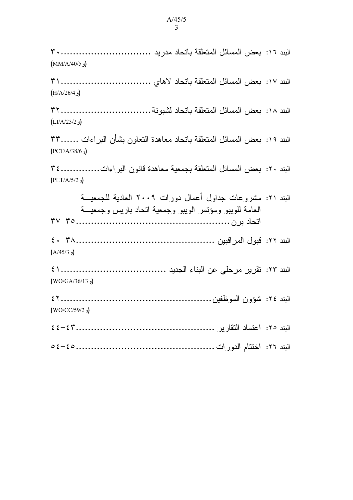(و MM/A/40/5)  $(H/A/26/4)$  $(LI/A/23/2)$ البند ١٩: بعض المسائل المتعلقة باتحاد معاهدة التعاون بشأن البر اءات ٣٣...... (و PCT/A/38/6) البند ٢٠: بعض المسائل المتعلقة بجمعية معاهدة قانون البراءات...................٣٤  $(PLT/A/5/2)$ البند ٢١: مشر وعات جداول أعمال دور ات ٢٠٠٩ العادية للجمعية العامة للويبو ومؤنمر الويبو وجمعية انحاد باريس وجمعية  $(A/45/3)$  $(WO/GA/36/13)$ (WO/CC/59/2  $\sqrt{ }$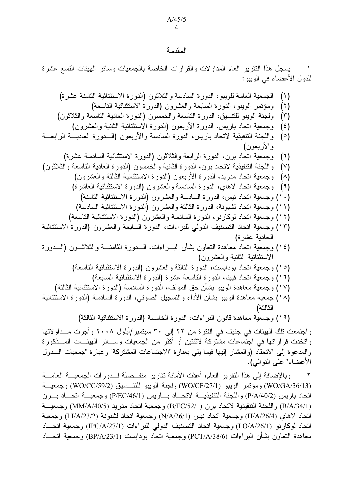$A/45/5$  $-4-$ 

#### المقدمة

يسجل هذا النقرير العام المداولات والقرارات الخاصة بالجمعيات وسائر الهيئات النسع عشرة  $-1$ للدول الأعضاء في الويبو :

| الجمعية العامة للويبو، الدورة السادسة والثلاثون (الدورة الاستثنائية الثامنة عشرة)                   | (1)                    |
|-----------------------------------------------------------------------------------------------------|------------------------|
| ومؤتمر الويبو، الدورة السابعة والعشرون (الدورة الاستثنائية التاسعة)                                 | $(\Upsilon)$           |
| ولجنة الويبو للتتسبق، الدورة التاسعة والخمسون (الدورة العادية التاسعة والثلاثون)                    | $(\tilde{\mathbf{r}})$ |
| وجمعية اتحاد باريس، الدورة الأربعون (الدورة الاستثنائية الثانية والعشرون)                           | $(\epsilon)$           |
| واللجنة التنفيذية لاتحاد باريس، الدورة السادسة والأربعون (السدورة العاديسة الرابعسة                 | $(\circ)$              |
| والاربعون)                                                                                          |                        |
| وجمعية اتحاد برن، الدورة الرابعة والثلاثون (الدورة الاستثنائية السادسة عشرة)                        | $(\lambda)$            |
| واللجنة التنفيذية لاتحاد برن، الدورة الثانية والخمسون (الدورة العادية التاسعة والثلاثون)            | $(\vee)$               |
|                                                                                                     |                        |
| وجمعية اتحاد مدريد، الدورة الأربعون (الدورة الاستثنائية الثالثة والعشرون)                           | $(\wedge)$             |
| (٩)   وجمعية اتحاد لاهاي، الدورة السادسة والعشرون (الدورة الاستثنائية العاشرة)                      |                        |
| (١٠) وجمعية اتحاد نيس، الدورة السادسة والعشرون (الدورة الاستثنائية الثامنة)                         |                        |
| (١١) وجمعية اتحاد لشبونة، الدورة الثالثة والعشرون (الدورة الاستثنائية السادسة)                      |                        |
| (١٢) وجمعية اتحاد لوكارنو، الدورة السادسة والعشرون (الدورة الاستثنائية التاسعة)                     |                        |
| (١٣) وجمعية اتحاد التصنيف الدولمي للبراءات، الدورة السابعة والعشرون (الدورة الاستثنائية             |                        |
| الحادية عشرة)                                                                                       |                        |
| (٢٤) وجمعية اتحاد معاهدة التعاون بشأن البـــراءات، الــــدورة الثامنــــة والثلاثــــون (الــــدورة |                        |
| الاستثنائية الثانية والعشرون)                                                                       |                        |
| (١٥) وجمعية اتحاد بودابست، الدورة الثالثة والعشرون (الدورة الاستثنائية التاسعة)                     |                        |
| (١٦) وجمعية اتحاد فبينا، الدورة التاسعة عشرة (الدورة الاستثنائية السابعة)                           |                        |
| (١٧) وجمعية معاهدة الويبو بشأن حق المؤلف، الدورة السادسة (الدورة الاستثنائية الثالثة)               |                        |
| (١٨) جمعية معاهدة الويبو بشأن الأداء والتسجيل الصوتي، الدورة السادسة (الدورة الاستثنائية            |                        |
| الثالثة)                                                                                            |                        |
|                                                                                                     |                        |
| (١٩) وجمعية معاهدة قانون البراءات، الدورة الخامسة (الدورة الاستثنائية الثالثة)                      |                        |
| بتمعت تلك الهيئات في جنيف في الفترة من ٢٢ إلى ٣٠ سبتمبر/أيلول ٢٠٠٨ وأجرت مــداولاتها                |                        |
| خذت قر ار اتها في احتماعات مشتر كة لاثنتين أو أكثر ٍ من الحمعيات وســـائر الهيئـــات المـــذكور ة   |                        |

واج و ات والمدعوة إلى الانعقاد (والمشار إليها فيما يلي بعبارة "الاجتماعات المشتركة" وعبارة "جمعيات الـــدول الأعضاء" على النوالي).

وبالإضافة إلى هذا النقرير العام، أعدّت الأمانة نقارير منفــصلة لــدورات الجمعيـــة العامـــة  $-\tau$ (WO/GA/36/13) ومؤتمر الويبو (WO/CF/27/1) ولجنة الويبو للتتسبيق (WO/CC/59/2) وجمعيــة اتحاد باريس (P/A/40/2) واللجنة التنفيذيـــة لاتحــــاد بــــاريس (P/EC/46/1) وجمعيـــة اتحـــاد بـــرن (B/A/34/1) و اللجنة التنفيذية لاتحاد بر ن (B/EC/52/1) وجمعية اتحاد مدر يد (MM/A/40/5) وجمعيـــة اتحاد لاهاي (H/A/26/4) وجمعية اتحاد نيس (N/A/26/1) وجمعية اتحاد لشبونة (LI/A/23/2) وجمعية اتحاد لوكارنو (LO/A/26/1) وجمعية اتحاد التصنيف الدولي للبراءات (IPC/A/27/1) وجمعية اتحـــاد معاهدة التعاون بشأن البر اءات (PCT/A/38/6) وجمعية اتحاد بودابست (BP/A/23/1) وجمعية اتحـــاد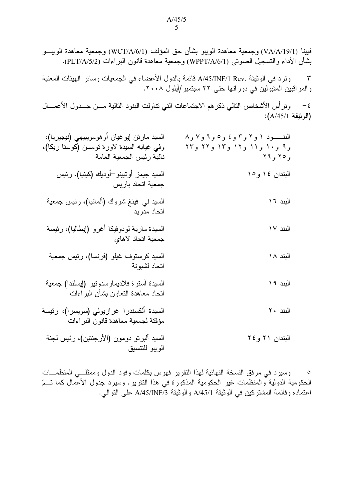فيينا (VA/A/19/1) وجمعية معاهدة الويبو بشأن حق المؤلف (WCT/A/6/1) وجمعية معاهدة الويبـــو بشأن الأداء والتسجيل الصوتـي (WPPT/A/6/1) وجمعية معاهدة قانون البراءات (PLT/A/5/2).

٣– وترد في الوثيقة .A/45/INF/1 Rev قائمة بالدول الأعضاء في الجمعيات وسائر الهيئات المعنية والمراقبين المقبولين في دوراتها حتى ٢٢ سبتمبر/أيلول ٢٠٠٨.

t – وترأس الأشخاص التالي ذكر هم الاجتماعات التي تناولت البنود التالية مـــن جـــدول الأعمــــال (الوثيقة A/45/1):

| البنــــود ۱ و۲ و۳ و ٤ و٥ و ٦ و٧ و٨<br>و۹ و۱۰ و۱۱ و۱۲ و۱۳ و۲۲ و۲۳<br>و۲۵ و۲۲ | السيد مارتن إيوغيان أوهومويبيهي (نيجيريا)،<br>وفي غيابه السيدة لاورة نومسن (كوستا ريكا)،<br>نائبة رئيس الجمعية العامة |
|------------------------------------------------------------------------------|-----------------------------------------------------------------------------------------------------------------------|
| البندان ١٤ و١٥                                                               | السيد جيمز أوتيينو¬أوديك (كينيا)، رئيس<br>جمعية اتحاد باريس                                                           |
| البند ١٦                                                                     | السيد لي <del>-ف</del> ينغ شروك (ألمانيا)، رئيس جمعية<br>اتحاد مدريد                                                  |
| البند ١٧                                                                     | السيدة مارية لودوفيكا أغرو (إيطاليا)، رئيسة<br>جمعية اتحاد لاهاي                                                      |
| البند ١٨                                                                     | السيد كرستوف غيلو (فرنسا)، رئيس جمعية<br>اتحاد لشبونة                                                                 |
| البند ١٩                                                                     | السيدة أسترة فلاديمارسدونير (إيسلندا) جمعية<br>اتحاد معاهدة النعاون بشأن البراءات                                     |
| البند ۲۰                                                                     | السيدة ألكسندرا غرازيولي (سويسرا)، رئيسة<br>مؤقتة لجمعية معاهدة قانون البراءات                                        |
| البندان ٢١ و ٢٤                                                              | السيد ألبرتو دومون (الأرجنتين)، رئيس لجنة<br>الويبو للتنسيق                                                           |

0– وسيرد في مرفق النسخة النهائية لهذا التقرير فهرس بكلمات وفود الدول وممثلـــي المنظمـــات الحكومية الدولية والمنظمات غير الحكومية المذكورة في هذا التقرير . وسيرد جدول الأعمال كما تـــمّ اعتماده وقائمة المشتركين في الوثيقة A/45/1 والوثيقة A/45/INF/3 على التوالي.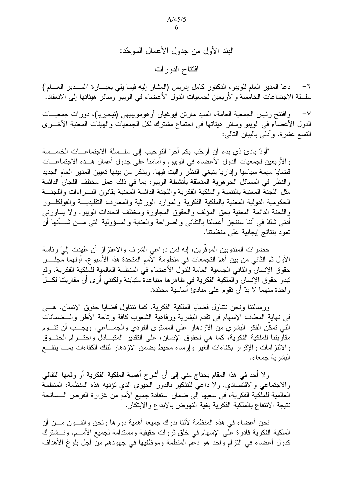البند الأول من جدول الأعمال الموحّد: افتتاح الدورات

دعا المدير العام للويبو، الدكتور كامل إدريس (المشار إليه فيما يلي بعبـــارة "المـــدير العـــام")  $-7$ سلسلة الاجتماعات الخامسة والأربعين لجمعيات الدول الأعضاء في الويبو وسائر هيئاتها إلى الانعقاد.

وافتتح رئيس الجمعية العامة، السيد مارتن ليوغيان أوهومويبيهي (نيجيريا)، دورات جمعيـــات  $-\lor$ الدول الأعضاء في الويبو وسائر هيئاتها في اجتماع مشترك لكل الجمعيات والهيئات المعنية الأخـــرى النسع عشرة، وأدلمي بالبيان النالمي:

"أودّ بادئ ذي بدء أن أرحّب بكم أحرّ الترحيب إلى سلــسلة الاجتماعـــات الخامــسة والأربعين لجمعيات الدول الأعضاء في الويبو. وأمامنا على جدول أعمال هــذه الاجتماعـــات قضايا مهمة سياسيا وإداريا ينبغي النظر والبت فيها. ويذكر من بينها تعيين المدير العام الجديد والنظر في المسائل الجوهرية المتعلقة بأنشطة الويبو، بما في ذلك عمل مختلف اللجان الدائمة مثل اللجنة المعنية بالتنمية والملكية الفكرية واللجنة الدائمة المعنية بقانون البسر اءات واللجنسة الحكومية الدولية المعنية بالملكية الفكرية والموارد الوراثية والمعارف النقليديـــة والفولكلـــور واللجنة الدائمة المعنية بحق المؤلف والحقوق المجاورة ومختلف اتحادات الويبو . ولا يساورني أدنـي شكَّ فـي أننـا سننـجز أعمـالنـا بـالنفانـي والصـراحـة والـعنـايـة والمسؤوليـة النـي مـــن شـــأنـها أن تعود بنتائج إيجابية على منظمتنا.

حضرات المندوبين الموقَّرين، إنه لمن دواعي الشرف والاعتزاز أن عُهدت إلىَّ رئاسة الأول ثم الثاني من بين أهمِّ التجمعات في منظومة الأمم المتحدة هذا الأسبوع، أولهما مجلَّــس حقوق الإنسان والثاني الجمعية العامة للدول الأعضاء في المنظمة العالمية للملكية الفكرية. وقد نبدو حقوق الإنسان والملكية الفكرية في ظاهرها متباعدة متباينة ولكنني أرى أن مقاربتنا لكـــل واحدة منهما لا بدٍّ أن نقوم على مبادئ أساسية محدّدة.

ورسالتنا ونحن نتناول قضايا الملكية الفكرية، كما نتناول قضايا حقوق الإنسان، هـــي في نهاية المطاف الإسهام في نقدم البشرية ورفاهية الشعوب كافة وإناحة الأطر والـــضمانات التبي نمكن الفكر البشري من الازدهار على المستوى الفردي والجمـــاعي. ويجـــب أن نقـــوم مقاربتنا للملكية الفكرية، كما هي لحقوق الإنسان، على النقدير المنبـــادل واحتــــرام الحقـــوق والالنتزامات والإقرار بكفاءات الغير وإرساء محيط يضمن الازدهار لنثلك الكفاءات بمسا ينفسع البشر بة جمعاء.

ولا أحد في هذا المقام يحتاج منبي إلىي أن أشرح أهمية الملكية الفكرية أو وقعها الثقافي والاجتماعي والاقتصادي. ولا داعي للتذكير بالدور الحيوي الذي نؤديه هذه المنظمة، المنظمة العالمية للملكية الفكرية، في سعيها إلى ضمان استفادة جميع الأمم من غزارة الفرص الـــسانحة نتيجة الانتفاع بالملكية الفكر ية بغية النهوض بالإبداع و الابتكار .

نحن أعضاء في هذه المنظمة لأننا ندرك جميعا أهمية دورها ونحن واثقـــون مــــن أن الملكية الفكرية قادرة على الإسهام في خلق ثروات حقيقية ومستدامة لجميع الأمـــم. ونـــشترك كدول أعضاء في النزام واحد هو دعم المنظمة وموظفيها في جهودهم من أجل بلوغ الأهداف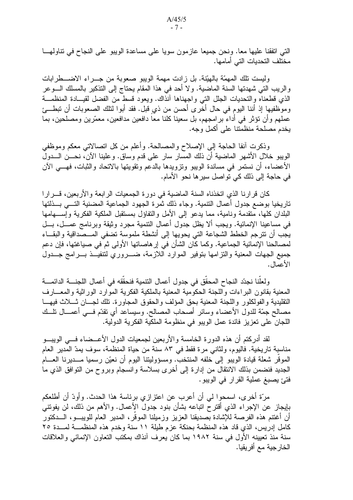التي اتفقنا عليها معا. ونحن جميعا عازمون سويا على مساعدة الويبو على النجاح في نتاولهــا مختلف التحديات التي أمامها.

وليست تلك المهمّة بالهيّنة. بل زادت مهمة الويبو صعوبة من جـــراء الاضــــطر ابات والريب التي شهدتها السنة الماضية. ولا أحد في هذا المقام يحتاج إلى التذكير بالمسلك الـــوعر الذي قطعناه والتحديات الجلل التبي واجهناها أنذاك. ويعود قسط من الفضل لقيبادة المنظمــة وموظفيها إذ أننا اليوم في حال أخرى أحسن من ذي قبل. فقد أبوا لنلك الصعوبات أن نبطـــئ عملهم وأن نؤثر في أداء بر امجهم، بل سعينا كلنا معا دافعين مدافعين، معمّرين ومصلحين، بما يخدم مصلحة منظمتنا على أكمل وجه.

وذكرت أنفا الحاجة إلى الإصلاح والمصالحة. وأعلم من كل اتصالاتي معكم وموظفي الويبو خلال الأشهر المعاضية أن ذلك المسَّار سار على قدم وساق. وعلينا الآن، نحـــن الـــدول الأعضاء، أن نستمر في مساندة الويبو ونزويدها بالدعم وتقويتها بالاتحاد والثبات، فهـــي الآن في حاجة إلى ذلك كي تواصل سير ها نحو الأمام.

كان قرارنا الذي اتخذناه السنة الماضية في دورة الجمعيات الرابعة والأربعين، قـــرارا تاريخيا بوضع جدول أعمال التنمية. وجاء ذلك ثمرة الجهود الجماعية المضنية التـــى بـــذلتها البلدان كلها، متقدمة ونامية، مما يدعو إلى الأمل والنفاؤل بمستقبل الملكية الفكرية وإســـهامها في مساعينا الإنمائية. ويجب ألا يظل جدول أعمال النتمية مجرد وثيقة وبرنامج عمـــل، بـــل يجب أن نترجم الخطط الشجاعة التي يحويها إلى أنشطة ملموسة نضفي المـــصداقية والبقـــاء لمصالحنا الإنمائية الجماعية. وكما كان الشأن في إرهاصاتها الأولى ثمّ في صباغتها، فإن دعم جميع الجهات المعنية والنزامها بتوفير الموارد اللازمة، ضــــروري لتنفيـــذ بــــرامج جــــدول الأعمال.

ولعلنا نجدّد النجاح المحقق في جدول أعمال النتمية فنحقّقه فى أعمال اللجنــــة الدائمــــة المعنية بقانون البراءات واللجنة الحكومية المعنية بالملكية الفكرية الموارد الوراثية والمعــارف النقليدية والفولكلور واللجنة المعنية بحق المؤلف والحقوق المجاورة. تلك لجسان شبلاث فيهسا مصـالـح جمَّة للدول الأعضـاء وسائر أصـحاب المصـالـح. وسيساعد أي نقدّم فـــي أعمـــال نلـــك اللجان على تعزيز فائدة عمل الويبو في منظومة الملكية الفكرية الدولية.

لقد أدركتم أن هذه الدورة الخامسة والأربعين لجمعيات الدول الأعـــضـاء فــــى الويبــــو مناسبة تاريخية. فاليوم، ولثاني مرة فقط في ٨٣ سنة من حياة المنظمة، سوف يمدّ المدير العام الموقر شعلة قيادة الويبو إلى خلفه المنتخب. ومسؤوليتنا اليوم أن نعيّن رسميا مـــديرنا العــــام الجديد فنضمن بذلك الانتقال من إدارة إلى أخرى بسلاسة وانسجام وبروح من التوافق الذي ما فتئ يصبغ عملية القرار في الويبو .

مرَّة أخرى، اسمحوا لمي أن أعرب عن اعتزازي برئاسة هذا الحدث. وأودَّ أن أطلعكم بإيجاز عن الإجراء الذي أقترح اتباعه بشأن بنود جدول الأعمال. والأهم من ذلك، لن يفونني أن أغتنم هذه الفرصة للإشادة بصديقنا العزيز وزميلنا الموقر، المدير العام للويبـــو، الــــدكتور كامل إدريس، الذي قاد هذه المنظمة بحنكة عزم طيلة ١١ سنة وخدم هذه المنظمـــة لمـــدة ٢٥ سنة منذ تعيينه الأول في سنة ١٩٨٢ بما كان يعرف آنذاك بمكتب التعاون الإنمائي والعلاقات الخار جية مع أفريقيا.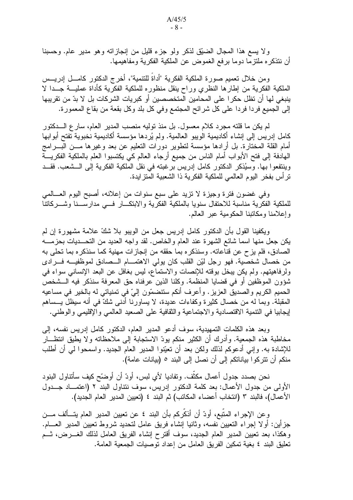ولا يسع هذا المجال الضيّق لذكر ولو جزء قليل من إنجازاته وهو مدير عام. وحسبنا أن ننذكر ه ملنزما دوما برفع الغموض عن الملكية الفكرية ومفاهيمها.

ومن خلال تعميم صور ة الملكية الفكرية "أداةٌ للتنمية"، أخر ج الدكتور كامـــل إدريـــس الملكية الفكرية من إطارها النظري وراح ينقل منظوره للملكية الفكرية كأداة عمليـــة جـــدا لا ينبغي لها أن تظل حكرٍ ا على المحامين المتخصصين أو كبريات الشركات بل لا بدّ من تقريبها إلى الجميع فردا فردا على كل شرائح المجتمع وفي كل بلد وكل بقعة من بقاع المعمورة.

لم يكن ما قلته مجر د كلام معسول. بل منذ توليه منصب المدير العام، سار ع الـــدكتور كامل إدريس إلى إنشاء أكاديمية الويبو العالمية. ولم يُردها مؤسسة أكاديمية نخبوية تفتح أبوابها أمام القلة المختارة. بل أرادها مؤسسة لتطوير دورات التعليم عن بعد وغيرها مـــن البـــرامج الهادفة إلى فتح الأبواب أمام الناس من جميع أرجاء العالم كي يكتسبوا العلم بالملكية الفكريـــة وينتفعوا بها. وسيُذكر الدكتور كامل إدريس برغبته في نقل الملكية الفكرية إلى الـــشعب. فقـــد تر أس بفخر اليوم العالمي للملكية الفكر ية ذا الشعبية المتز ايدة.

وفي غضون فترة وجيزة لا تزيد على سبع سنوات من إعلانه، أصبح اليوم العـــالمي للملكية الفكرية مناسبة للاحتفال سنويا بالملكية الفكرية والابتكـــار فـــي مدارســـنا وشــــركاتنا وإعلامنا ومكاتبنا الحكومية عبر العالم.

ويكفينا القول بأن الدكتور كامل إدريس جعل من الويبو بلا شكّ علامة مشهور ة إن لم يكن جعل منها اسما شائع الشهرة عند العام والخاص. لقد واجه العديد من التحـــديات بحزمــــه الصادق، فلم يزح عن قناعاته. وسنذكر ه بما حققه من إنجاز ات مهنية كما سنذكر ه بما تحلي به من خصال شخصية. فهو رجل ليّن القلب كان يولّي الاهتمـــام الـــصـادق لموظفيـــه فــــرادي ولرفاهيتهم. ولم يكن يبخل بوقته للإنصات والاستماع، ليس بغافل عن البعد الإنساني سواء في شؤون الموظفين أو في قضايا المنظمة. وكلنا الذين عرفناه حق المعرفة سنذكر فيه الـــشخص الحميم الكريم والصديق العزيز . وأعرف أنكم ستتضمَّون إلىَّ في تمنياتي له بالخير في مساعيه المقبلة. وبما له من خصال كثيرة وكفاءات عديدة، لا يساورنا أدنـي شكَّ فـي أنـه سيظل يـــساهم لِيجابيا في التنمية الاقتصادية والاجتماعية والثقافية على الصعيد العالمي والإقليمي والوطنبي.

وبعد هذه الكلمات التمهيدية، سوف أدعو المدير العام، الدكتور كامل إدريس نفسه، إلى مخاطبة هذه الجمعية. وأدرك أن الكثير منكم يودّ الاستجابة إلى ملاحظاته ولا يطيق انتظـــار للإشادة به. وإنـي أدعوكم لذلك ولكن بعد أن تعيّنوا المدير العام الـجديد. واسمحوا لـي أن أطلب منكم أن تتركوا بياناتكم إلى أن نصل إلى البند ٥ (بيانات عامة).

نحن بصدد جدول أعمال مكثَّف. وتفاديا لأي لبس، أودّ أن أوضَّح كيف سأنتاول البنود الأولى من جدول الأعمال: بعد كلمة الدكتور إدريس، سوف نتناول البند ٢ (اعتمــاد جـــدول الأعمال)، فالبند ٣ (انتخاب أعضاء المكاتب) ثم البند ٤ (تعيين المدير العام الجديد).

وعن الإجراء المتبع، أودّ أن أذكَّركم بأن البند ٤ عن تعيين المدير العام يتــألف مـــن جزأين: أولا إجراء النعيين نفسه، وثانيا إنشاء فريق عامل لنحديد شروط نعيين المدير العــــام. وهكذا، بعد تعيين المدير العام الجديد، سوف أقترح إنشاء الفريق العامل لذلك الغــــرض، شــم تعليق البند ٤ بغية تمكين الفر يق العامل من إعداد تو صيات الجمعية العامة.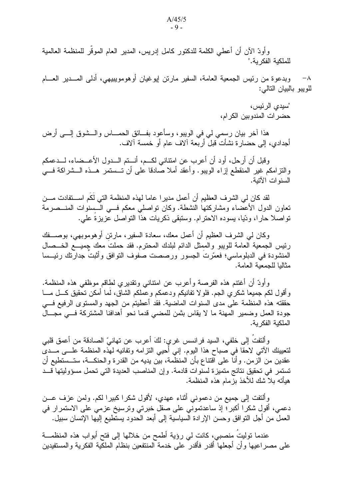وأودِّ الآن أن أعطي الكلمة للدكتور كامل إدريس، المدير العام الموقَّر للمنظمة العالمية للملكية الفكر ية."

وبدعوة من رئيس الجمعية العامة، السفير مارتن إيوغيان أوهومويبيهي، أدلمي المسدير العسام  $-\lambda$ للويبو بالبيان التالي:

> "سيدى الرئيس، حضر ات المندو بين الكر ام،

هذا أخر بيان رسمي لي في الويبو، وسأعود بفــائق الـحمـــاس والـــشوق إلــــي أرض أجدادي، إلى حضارة نشأت قبل أربعة آلاف عام أو خمسة آلاف.

وقبل أن أرحل، أود أن أعرب عن امتناني لكــم، أنـــتم الـــدول الأعـــضاء، لـــدعمكم والنزامكم غير المنقطع إزاء الويبو. وأعقد أملا صَّادقا على أن تـــستمر هـــذه الـــشراكة فـــي السنو ات الآتية.

لقد كان لي الشر ف العظيم أن أعمل مدير ا عاما لهذه المنظمة التي لكم اســـتفادت مـــن تعاون الدول الأعضاء ومشاركتها النشطة. وكان نواصلي معكم فـــي الـــسنوات المنـــصرمة تواصلا حارا، ودّيا، يسوده الاحترام. وستبقى ذكريات هذا التواصل عزيزة على.

وكان لـى الشرف العظيم أن أعمل معك، سعادة السفير ، مارتن أوهوموبـهي، بوصــــفك رئيس الجمعية العامة للويبو والممثل الدائم لبلدك المحترم. فقد حملتٌ معك جميــــع الخـــصـال المنشودة في الدبلوماسي؛ فعمَّرت الجسور ورصصت صفوف التوافق وأثبتٌ جدارتك رئيـــسا مثاليا للجمعية العامة.

وأودَّ أن أغتنم هذه الفرصة وأعرب عن امتناني ونقديري لطاقم موظفي هذه المنظمة. وأقول لكم جميعا شكري الجم. فلولا تفانيكم ودعمكم وعملكم الشاق، لَما أمكن تحقيق كـــل مــــا حققته هذه المنظمة على مدى السنوات الماضية. فقد أعطيتم من الجهد والمستوى الرفيع فـــي جودة العمل وضمير المهنة ما لا يقاس بثمن للمضبي قدما نحو أهدافنا المشتركة فسي مجـــال الملكبة الفكر بة.

و ألتفت إلى خلفي، السيد فر انسس غربي: لكَ أُعرب عن تهانيّ الصـادقة من أعمق قلبي لنعيينك الآتـى لاحقا فـي صباح هذا اليوم. إنـي أُحيـي النز امـه وتفانيه لـهذه المنظمة علــــى مـــدى عقدين من الزمن. وأنا على اقتناع بأن المنظمة، بين يديه من القدر ة والحنكـــة، ستـــستطيع أن تستمر في تحقيق نتائج متميزة لسنوات قادمة. وإن المناصب العديدة التي تحمل مسؤوليتها قــد هبأته بلا شك للأخذ بز مام هذه المنظمة.

وألنفت إلى جميع من دعمونـي أنثـاء عهدي، لأقول شكرًا كبيرًا لكم. ولمن عزف عـــن دعمي، أقول شكرا أكبر؛ إذ ساعدتموني على صقل خبرتي وترسيخ عزمي على الاستمرار في العمل من أجل النوافق وحسن الإرادة السياسية إلى أبعد الحدود يستطيع إليها الإنسان سبيل.

عندما توليتُ منصبي، كانت لي رؤية أطمح من خلالها إلى فتح أبواب هذه المنظمـــة على مصر اعيها وأن أجعلها أقدر فأقدر على خدمة المنتفعين بنظام الملكية الفكرية والمستفيدين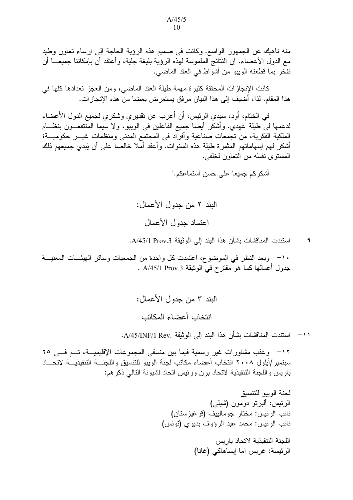منه ناهيك عن الجمهور الواسع. وكانت في صميم هذه الرؤية الحاجة إلى إرساء تعاون وطيد مع الدول الأعضـاء. إن النتائج الملموسة لمهذه الرؤية بليغة جلية، وأعتقد أن بإمكاننا جميعــــا أن نفخر بما قطعته الويبو من أشواط في العقد الماضبي.

كانت الإنجازات المحققة كثيرة مهمة طيلة العقد الماضي، ومن العجز تعدادها كلها في هذا المقام. لذا، أضيف إلى هذا البيان مرفق يستعرض بعضا من هذه الإنجازات.

في الختام، أود، سيدي الرئيس، أن أعرب عن تقديري وشكري لجميع الدول الأعضاء لدعمها لـى طيلة عهدي. وأشكر أيضا جميع الفاعلين في الويبو، ولا سيما المُنتفعــون بنظـــام الملكية الفكرية، من تجمعات صناعية وأفراد في المجتمع المدنى ومنظمات غيـــر حكوميـــة؛ أشكر لـهم إسهاماتـهم المثمرة طيلة هذه السنوات. وأعقد أملا خالصـا علـي أن يُبدى جميعهم ذلك المسنو ى نفسَه من النعاون لخلفي.

أشكر كم جميعا على حسن استماعكم."

استندت المناقشات بشأن هذا البند إلى الو ثبقة A/45/1 Prov.3.  $-9$ 

١٠- وبعد النظر في الموضوع، اعتمدت كل واحدة من الجمعيات وسائر الهيئــات المعنيـــة جدول أعمالها كما هو مقترح في الوثيقة A/45/1 Prov.3 .

> البند ٣ من جدول الأعمال: انتخاب أعضاء المكاتب

١١− استندت المناقشات بشأن هذا البند إلى الوثيقة .A/45/INF/1 Rev.

١٢– وعقب مشاورات غير رسمية فيما بين منسقى المجموعات الإقليميـــة، تـــم فـــى ٢٥ سبتمبر /أيلول ٢٠٠٨ انتخاب أعضاء مكاتب لجنة الويبو للتتسيق واللجنــــة التتفيذيـــة لاتحــــاد باريس واللجنة التنفيذية لاتحاد برن ورئيس اتحاد لشبونة النالي ذكرهم:

> لجنة الوبيو للتنسبق الرئيس: ألبرنو دومون (شبلي) نائب الرئيس: مختار جو مالييف (قرغيز ستان) نائب الرئيس: محمد عبد الرؤوف بديوي (تونس)

> > اللجنة التنفيذية لاتحاد باريس الرئيسة: غريس آما إيساهاكي (غانا)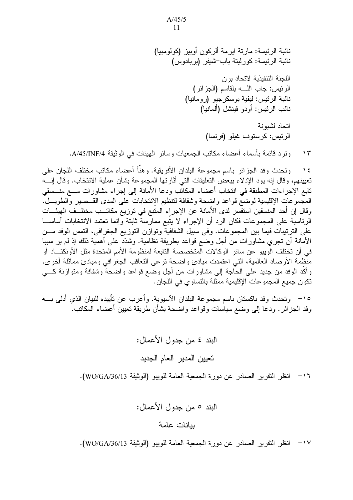$A/45/5$  $-11-$ 

نائبة الرئيسة: مارتة ايرمة ألركون أوبيز (كولومبيا) نائبة الرئيسة: كورليتة باب-شيفر (بربادوس)

> اللجنة التنفيذية لاتحاد بر ن الرئيس: جاب الله بلقاسم (الجزائر) نائبة الرئيس: ليفية بوسكرجيو (رومانيا) نائب الرئيس: أو دو فينشل (ألمانيا)

> > اتحاد لشبونة الرئيس: كرستوف غيلو (فرنسا)

وتر د قائمة بأسماء أعضاء مكاتب الجمعيات وسائر الهيئات في الوثيقة A/45/INF/4.  $-15$ 

١٤ - وتحدث وفد الجز ائر باسم مجموعة البلدان الأفر يقية. و هنَّا أعضاء مكاتب مختلف اللجان على تعيينهم، وقال إنه يود الإدلاء ببعض التعليقات التي أثارتها المجموعة بشأن عملية الانتخاب. وقال إنسه تابع الإجراءات المطبقة في انتخاب أعضاء المكاتب ودعا الأمانة إلى إجراء مشاورات مسع منسسقى المُجموعات الإقليمية لوضعٌ قواعد واضحة وشفافة لتنظيم الانتخابات على المدى القــصير والطويـــل. وقال إن أحد المنسقين استفسر لدى الأمانة عن الإجراء المتبع في توزيع مكاتــب مختلــف الـهيئـــات الرئاسية على المجموعات فكان الرد أن الإجراء لا يتَّبع ممارسة ثابتة وإنما تعتمد الانتخابات أساســـا على الترتيبات فيما بين المجموعات. وفي سبيل الشفافية وتوازن التوزيع الجغرافي، التمس الوفد مـــن الأمانة أن تجري مشاورات من أجل وضع قواعد بطريقة نظامية. وشدّد على أهمية ذلك إذ لم ير سببا في أن تختلف الويبو عن سائر الوكالات المتخصصة التابعة لمنظومة الأمم المتحدة مثل الأونكتـــاد أو منظمة الأرصاد العالمية، التي اعتمدت مبادئ واضحة نرعى التعاقب الجغرافي ومبادئ مماثلة أخرى. وأكَّد الوفد من جديد على الحاجة إلى مشاورات من أجل وضع قواعد واضحة وشفافة ومتوازنة كــــى تكون جميع المجموعات الإقليمية ممثلة بالتساوي في اللجان.

١٥– وتحدث وفد باكستان باسم مجموعة البلدان الأسيوية. وأعرب عن تأييده للبيان الذي أدلمي بــــه وفد الجزائر . ودعا إلى وضع سياسات وقواعد واضحة بشأن طريقة تعيين أعضاء المكاتب.

> البند ٤ من جدول الأعمال: تعيين المدير العام الجديد

١٦ – انظر النقرير الصـادر عن دورة الجمعية العامة للويبو (الوثيقة WO/GA/36/13).

البند ٥ من جدول الأعمال:

#### ببانات عامة

١٧ – انظر النقرير الصادر عن دورة الجمعية العامة للويبو (الوثيقة WO/GA/36/13).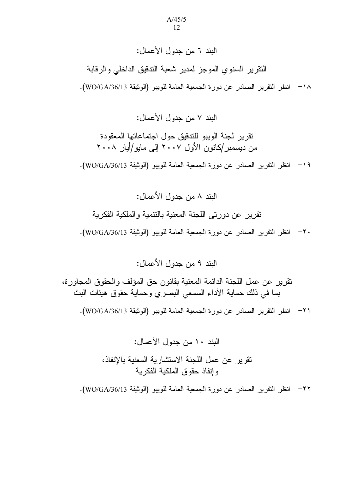### البند ٦ من جدول الأعمال:

النقرير السنوي الموجز لمدير شعبة الندقيق الداخلي والرقابة 1٨ - انظر النقرير الصادر عن دورة الجمعية العامة للويبو (الوثيقة WO/GA/36/13).

البند ٧ من جدول الأعمال:

نقرير لجنة الويبو للتدقيق حول اجتماعاتها المعقودة من دیسمبر /کانون الأول ۲۰۰۷ إلى مايو/أيار ۲۰۰۸

19 - انظر النقرير الصبادر عن دورة الجمعية العامة للويبو (الوثيقة WO/GA/36/13).

البند ٨ من جدول الأعمال: نقرير عن دورتى اللجنة المعنية بالننمية والملكية الفكرية ٢٠ - انظر النقرير الصادر عن دورة الجمعية العامة للويبو (الوثيقة WO/GA/36/13).

البند ٩ من جدول الأعمال:

نقرير عن عمل اللجنة الدائمة المعنية بقانون حق المؤلف والحقوق المجاورة، بما في ذلك حماية الأداء السمعي البصري وحماية حقوق هيئات البث ٢١ - انظر النقرير الصبادر عن دورة الجمعية العامة للويبو (الوثيقة WO/GA/36/13).

> البند ١٠ من جدول الأعمال: تقرير عن عمل اللجنة الاستشارية المعنية بالانفاذ، وإنفاذ حقوق الملكية الفكرية

7٢– انظر النقرير الصادر عن دورة الجمعية العامة للويبو (الوثيقة WO/GA/36/13).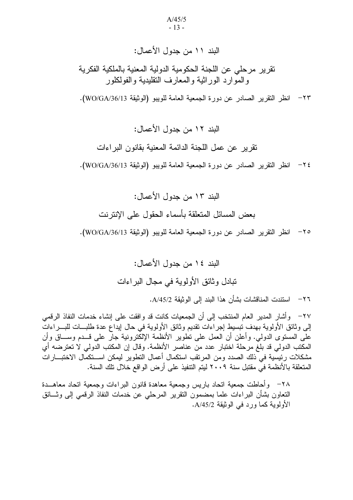#### البند ١١ من جدول الأعمال:

نقرير مرحلي عن اللجنة الحكومية الدولية المعنية بالملكية الفكرية و المو ار د الو ر اثبة و المعار ف النقليدية و الفو لكلو ر

7٣ – انظر النقرير الصادر عن دورة الجمعية العامة للويبو (الوثيقة WO/GA/36/13).

البند ١٢ من جدول الأعمال:

تقرير عن عمل اللجنة الدائمة المعنية بقانون البر اءات

٢٤− انظر النقر بر الصـادر عن دور ة الجمعية العامة للويبو (الوثيقة WO/GA/36/13).

البند ١٣ من جدول الأعمال: بعض المسائل المتعلقة بأسماء الحقول على الإنتر نت ٢٥ – انظر النقرير الصادر عن دورة الجمعية العامة للويبو (الوثيقة WO/GA/36/13).

> البند ١٤ من جدول الأعمال: تبادل و ثائق الأولوية في مجال البر اءات

٢٦ – استندت المناقشات بشأن هذا البند إلى الوثيقة A/45/2.

٢٧– وأشار المدير العام المنتخب إلى أن الجمعيات كانت قد و افقت على إنشاء خدمات النفاذ الرقمي إلى وثائق الأولوية بهدف تبسيط إجراءات تقديم وثائق الأولوية في حال إيداع عدة طلبسات للبسراءات علمي المستوى الدولمي. وأعلن أن العمل علمي تطوير الأنظمة الإلكترونية جارٍ علمي قــدم وســـاق وأن المكتب الدولي قد بلغ مر حلة اختبار عدد من عناصر الأنظمة. وقال إن المكتب الدولي لا تعتر ضبه أي مشكلات رئيسية في ذلك الصدد ومن المرتقب استكمال أعمال التطوير ليمكن اســتكمال الاختبـــارات المتعلقة بالأنظمة في مقتبل سنة ٢٠٠٩ ليتم التتفيذ على أرض الواقع خلال تلك السنة.

٢٨– وأحاطت جمعية اتحاد باريس وجمعية معاهدة قانون البر اءات وجمعية اتحاد معاهـــدة النعاون بشأن البراءات علما بمضمون النقرير المرحلي عن خدمات النفاذ الرقمي إلى وثـــائق الأولوية كما ورد في الوثيقة A/45/2.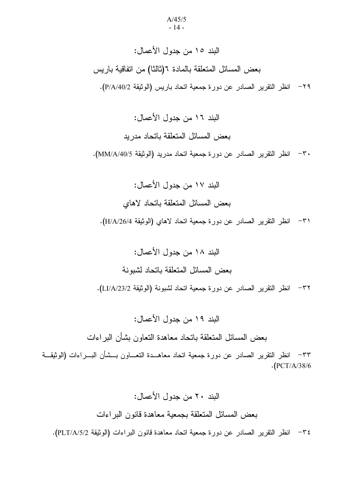# البند ١٥ من جدول الأعمال: بعض المسائل المتعلقة بالمادة ٦(ثالثا) من اتفاقية باريس ٢٩ – انظر النقرير الصادر عن دورة جمعية اتحاد باريس (الوثيقة P/A/40/2).

البند ١٦ من جدول الأعمال: بعض المسائل المتعلقة باتحاد مدريد ٣٠ – انظر النقرير الصادر عن دورة جمعية اتحاد مدريد (الوثيقة MM/A/40/5).

الدند ١٧ من حدول الأعمال: بعض المسائل المتعلقة باتحاد لاهاى ٣١ - انظر التقرير الصبادر عن دورة جمعية اتحاد لاهاى (الوثيقة H/A/26/4).

البند ١٨ من جدول الأعمال: بعض المسائل المتعلقة باتحاد لشبونة ٣٢– انظر التقرير الصادر عن دورة جمعية اتحاد لشبونة (الوثيقة LI/A/23/2).

البند ١٩ من جدول الأعمال: بعض المسائل المتعلقة باتحاد معاهدة التعاون بشأن البراءات

٣٣– انظر النقرير الصادر عن دورة جمعية اتحاد معاهــدة النعـــاون بـــشأن البـــراءات (الوثيقـــة  $\cdot$ (PCT/A/38/6

> البند ٢٠ من جدول الأعمال: بعض المسائل المتعلقة بجمعية معاهدة قانون البر اءات

ـ ٣٤ - انظر التقرير الصادر عن دورة جمعية اتحاد معاهدة قانون البراءات (الوثيقة PLT/A/5/2).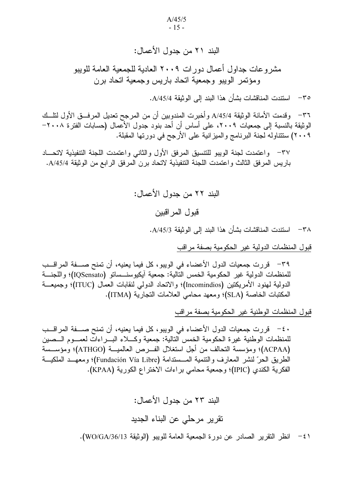### البند ٢١ من جدول الأعمال:

مشر و عات جداول أعمال دور ات ٢٠٠٩ العادية للجمعية العامة للويبو ومؤنمر الويبو وجمعية اتحاد باريس وجمعية اتحاد برن

٣٥ – استندت المناقشات بشأن هذا البند الى الوشقة A/45/4.

٣٦– وقدمت الأمانة الوثيقة A/45/4 وأخبرت المندوبين أن من المرجح تعديل المرفــق الأول لتلــك الوثيقة بالنسبة إلى جمعيات ٢٠٠٩، على أساس أن أحد بنود جدول الأعمال (حسابات الفترة ٢٠٠٨– ٢٠٠٩) ستتناوله لجنة البرنامج والميزانية على الأرجح في دورتها المقبلة.

٣٧– واعتمدت لجنة الويبو للتتسيق المرفق الأول والثاني واعتمدت اللجنة التتفيذية لاتحـــاد باريس المرفق الثالث واعتمدت اللجنة التنفيذية لاتحاد برن المرفق الرابع من الوثيقة A/45/4.

الدند ٢٢ من حدول الأعمال:

قبو ل المر اقبين

٣٨ – استندت المناقشات بشأن هذا البند إلى الوثيقة A/45/3.

قبول المنظمات الدولية غير الحكومية بصفة مراقب

٣٩ – قررت جمعيات الدول الأعضاء في الويبو ،كل فيما يعنيه، أن تمنح صـــفة المراقـــب للمنظمات الدولية غير الحكومية الخمس التالية: جمعية آيكيوسنــساتو (IQSensato)؛ واللجنـــة الدولية لمهنود الأمريكتين (Incomindios)؛ والاتحاد الدولي لنقابات العمال (ITUC)؛ وجميعـــة المكتبات الخاصة (SLA)؛ ومعهد محامي العلامات التجارية (ITMA).

قبول المنظمات الوطنية غير الحكومية بصفة مراقب

· ٤- قررت جمعيات الدول الأعضاء في الويبو، كل فيما يعنيه، أن تمنح صـــفة المراقـــب للمنظمات الوطنية غيرة الحكومية الخمس التالية: جمعية وكـــلاء البــــراءات لعمــــوم الــــصين (ACPAA)؛ ومؤسسة التحالف من أجل استغلال الفــرص العالميــة (ATHGO)؛ ومؤســسة الطريق الحرّ لنشر المعارف والنتمية المـــستدامة (Fundación Vía Libre)؛ ومعهــد الملكيـــة الفكرية الكندي (IPIC)؛ وجمعية محامي براءات الاختراع الكورية (KPAA).

البند ٢٣ من جدول الأعمال:

تقرير مرحلي عن البناء الجديد

1 c / انظر النقرير الصادر عن دورة الجمعية العامة للويبو (الوثيقة WO/GA/36/13).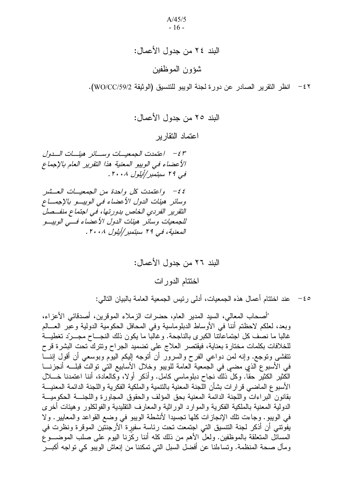## البند ٢٤ من جدول الأعمال: شؤون الموظفين

٤٢ – انظر التقرير الصـادر عن دورة لجنة الويبو للتتسيق (الوثيقة WO/CC/59/2).

اعتماد التقار بر

+f > - /عتمدت الجمعيــات وســـائر هيئـــات الــــدول الأعضاء في الوبيو المعنية هذا التقرير العام بالإجماع قبی ۲۹ سبتمبر/أیلول ۲۰۰۸. ٤٤ - واعتمدت كل واحدة من الجمعيات العــشر وسائر هيئات الدول الأعضاء في الويبو بالإجماع التقرير الفردي الخاص بدورتها، في اجتماع منفــصل للجمعيات وسائر هيئات الدول الأعضاء فسي الوييسو المعنية، في ٢٩ سبتمبر /أيلول ٢٠٠٨.

"أصحاب المعالي، السيد المدير العام، حضرات الزملاء الموقرين، أصدقائي الأعزاء، وبعد، لعلكم لاحظتم أننا في الأوساط الدبلوماسية وفي المحافل الحكومية الدولية وعبر العـــالم غالبا ما نصف كل اجتماعاتنا الكبرى بالناجحة. وغالبًا ما يكون ذلك النجـــاح مجـــردّ تغطيـــة للخلافات بكلمات مختارة بعناية، فيقتصر العلاج على تضميد الجراح ونترك تحت البشرة قرح نتفشى ونوجع. وإنه لمن دواعي الفرح والسرور أن أنوجه إليكم اليوم وبوسعي أن أقول إننـــا في الأسبوع الذي مضبي في الجمعية العامة للويبو وخلال الأسابيع التي توالت قبلــــه أنجزنــــا الْكَثيرِ الكثيُّرِ حقًّا. وكلُّ ذلكَ نجاحٍ دبلوماسي كامل. وأذكر أولا، وكالعادة، أننا اعتمدنا خــــلل الأسبوع الماضبي قرارات بشأن اللجنة المعنية بالتنمية والملكية الفكرية واللجنة الدائمة المعنيسة بقانون البراءات واللجنة الدائمة المعنية بحق المؤلف والحقوق المجاورة واللجنسة الحكوميسة الدولية المعنية بالملكية الفكرية والموارد الوراثية والمعارف التقليدية والفولكلور وهيئات أخرى في الويبو. وجاءت نلك الإنجازات كلَّها تجسيدًا لأنشطة الويبو في وضع القواعد والمعايير. ولا يفونتـى أن أذكر لـجنة النتسيق التـى اجتمعت تحت رئاسة سفيرة الأرجنتين الموقرة ونظرت فـى المسائل المتعلقة بالموظفين. ولعلَّ الأهم من ذلك كله أننا ركَّزنا اليوم على صلب الموضـــوع ومآل صحة المنظمة. ونساءلنا عن أفضل السبل التي تمكننا من إنعاش الويبو كي نواجه أكبـــر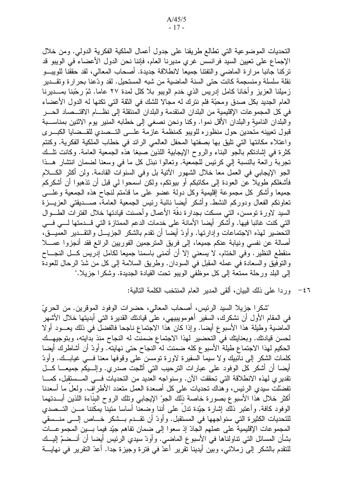التحديات الموضوعية التي تطالع طريقنا على جدول أعمال الملكية الفكرية الدولي. ومن خلال الإجماع على تعيين السيد فرانسس غري مديرنا العام، فإننا نحن الدول الأعضاء في الويبو قد تركنا جانبا مرارة الماضبي والتفتنا جميعا لانطلاقة جديدة. أصحاب المعالبي، لقد حققنا للويبـــو نقلة سلسلة ومنسجمة كانت حتى السنة الماضية من شبه المستحيل. لقد ودّعنا بحر ار ة وتقـــدير زميلنا العزيز وأخانا كامل إدريس الذي خدم الويبو بلا كلل لمدة ٢٧ عاما. ثمّ رحّبنا بمـــديرنـا العام الجديد بكل صدق ومحبَّة فلم نترك له مجالًا للشك في النَّقة التي تكنها له الدول الأعضاء في كل المجموعات الإقليمية من البلدان المتقدمة والبلدان المنتقلة إلى نظــام الاقتـــصـاد الحــــر والبلدان النامية والبلدان الأقل نموا. وكنا ونحن نصغى إلى خطابه المنير يوم الاثنين بمناســبة قبول تعيينه متحدين حول منظوره للويبو كمنظمة عازمة علــي التـــصدي للقـــضايا الكبـــرى واعتلاء مكانتها التي نليق بها بصفتها المحفل العالمي الرائد في خطاب الملكية الفكرية. وكنتم كثرة في إشادتكم بالجو البناء والروح الإيجابية اللذين صبغا هذه الجمعية العامة. وكانت نلَّــك تجربة رائعة بالنسبة إلى كرئيس للجمعية. وتعالوا نبذل كل ما في وسعنا لضمان انتشار هــذا الجو الإيجابي في العمل معا خلال الشهور الآنية بل وفي السنوات القادمة. ولن أكثر الكــــلام فأشغلكم طويلا عن العودة إلى مكاتبكم أو بيوتكم، ولكن اسمحوا لي قبل أن تذهبوا أن أشكركم جميعا وأشكر كل مجموعة إقليمية وكل دولة عضو على ما قدَّمتم لنجاح هذه الجمعية وعلــــي تعاونكم الفعال ودوركم النشط. وأشكر أيضا نائبة رئيس الجمعية العامة، صـــديقتـي العزيـــزة السيد لاورة نومسن، التبي مسكت بجدارة دفة الأعمال وأحسنت فيادتها خلال الفترات الطـــوال التي كنت غائبا فيها. وأشكر أيضا الأمانة على خدمات الدعم الممتازة التي قـــدمتها لــــي فــــي النحضير لهذه الاجتماعات وإدارتها. وأودَّ أيضا أن نقدم بالشكر الجزيـــل والنقـــدير العميـــق، أصـالـة عن نفسي ونيابـة عنكم جميعـا، إلـي فريق المـترجمين الفوريين الرائـع فقد أنـجزوا عمــــلا منقطع النظير . وفي الختام، لا يسعني إلا أن أتمنى باسمنا جميعا لكامل إدريس كـــل النجـــاح والنوفيق والسعادة في عمله المقبل في السودان. وطريق السلامة إلى كل من شدّ الرحال للعودة إلى البلد ورحلة ممتعة إلى كل موظفى الويبو تحت القيادة الجديدة. وشكرا جزيلا."

٤٦ - وردا على ذلك البيان، ألقى المدير العام المنتخب الكلمة التالية:

"شكر ا جزيلا السيد الرئيس، أصحاب المعالي، حضرات الوفود الموقرين. من الحرىّ في المقام الأول أن نشكرك، السفير أهومويبيهي، على قيادنك القديرة التي أبديتها خلال الأشهر الماضية وطيلة هذا الأسبوع أيضا. وإذا كان هذا الاجتماع ناجحا فالفضل في ذلك يعـــود أولا لحسن قيادتك. وبعنايتك في التحضير لهذا الاجتماع ضمنت له النجاح منذ بدايته، وبتوجيهـك الحكيم لهذا الاجتماع طيلة الأسبوع كله ضمنت له النجاح حتى نهايته. وأودَّ أن أشاطرك أيضا كلمات الشكر ٳلى نائبيك ولا سيما السفيرة لاورة نومسن على وقوفها معنا فـــي غيابـــك. وأودّ أيضا أن أشكر كل الوفود على عبارات الترحيب التي أثلجت صدري. وإلـــيكم جميعــــا كـــل تقدير ي لهذه الانطلاقة التي تحققت الآن. وسنواجه العديد من التحديات فسي المسستقبل، كمسا تفضَّلت سيدي الرئيس، وهناك نحديات على كل أصعدة العمل متعدد الأطراف. ولعل ما أسعدنا أكثر خلال هذا الأسبوع بصورة خاصة ذلك الجوّ الإيجابي ونلك الروح البناءة اللذين أبـــدتهما الوفود كافة. وأعتبر ذلك إشارة جيّدة تدل على أننا وضعنا أساسا متينا يمكننا مـــن التـــصدى للتحديات الكثيرة التي سنواجهها في المستقبل. وأودّ أن نقـــدم بـــشكر خــــاص إلــــي منـــسقى المجموعات الإقليمية على عملهم الجادّ إذ سعوا إلى ضمان نفاهم جيّد فيما بسين المجموعسات بشأن المسائل التي تناولناها في الأسبو ع الماضيي. وأودّ سيدي الرئيس أيضا أن أنـــضمّ إليـــك للنقدم بالشكر إلىي زملائي، وبين أيدينا تقرير أعدّ في فترة وجيزة جدا. أعدّ النقرير في نهايــــة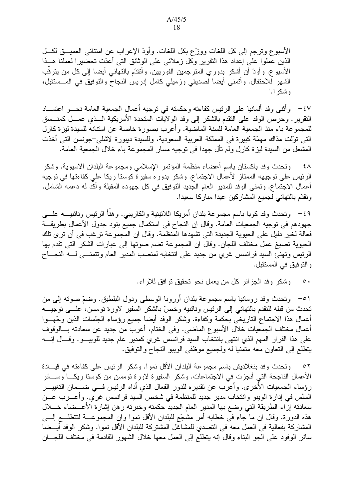الأسبوع ونرجم إلى كل اللغات ووزَّع بكل اللغات. وأودَّ الإعراب عن امتناني العميـــق لكـــل الذين عملوا على إعداد هذا النقرير وكل زملائي على الوثائق التي أعدّت تحضيرا لعملنا هــذا الأسبو ع. وأودَّ أن أشكر بدوري المنزجمين الفوريين. وأتقدَّم بالنهاني أيضا إلى كل من يترقَّب الشهر للاحتفال. وأنمنـى أيضـا لصديقي وزميلي كامل إدريس النجاح والنوفيق في المـــستقبل، وشكر ا."

٤٧ - وأثنـى وفد ألمانيا علـى الرئيس كفاءته وحكمته في توجيه أعمال الجمعية العامة نحـــو اعتمـــاد النقرير . وحرص الوفد على النقدم بالشكر إلى وفد الولايات المتحدة الأمريكية الـــذي عمـــل كمنـــسق للمجموعة باء منذ الجمعية العامة للسنة الماضية. وأعرب بصورة خاصة عن امتنانه للسيدة ليزة كارل التي تولَّت مذاك مهمَّة كبير ة في المملكة العربية السعودية، وللسيدة ديبور ة لاشلي–جونسن التي أخذت المشعل من السيدة ليزة كارل ولم نأل جهدا في نوجيه مسار المجموعة باء خلال الجمعية العامة.

٤٨ - وتحدث وفد باكستان باسم أعضاء منظمة المؤتمر الإسلامي ومجموعة البلدان الأسيوية. وشكر الرئيس على توجيهه الممتاز لأعمال الاجتماع. وشكر بدوره سفيرة كوستا ريكا على كفاءتها في توجيه أعمال الاجتماع. وتمنى الوفد للمدير العام الجديد التوفيق في كل جهوده المقبلة وأكد له دعمه الشامل. ونقدّم بالتهاني لجميع المشاركين عيدا مباركا سعيدا.

٤٩ -- وتحدث وفد كوبا باسم مجموعة بلدان أمريكا اللاتينية والكاريبي. وهنَّأ الرئيس ونائبيـــه علــــي جهودهم في توجيه الجمعيات العامة. وقال إن النجاح في استكمال جميع بنود جدول الأعمال بطريقـــة فعالة لخير دليل على الحيوية الجديدة التي تشهدها المنظمة. وقال إن المجموعة ترغب في أن ترى تلك الحيوية تصبغ عمل مختلف اللجان. وقالٌ إن المجموعة تضم صوتها إلى عبارات الشكر التي تقدم بها الرئيس وتهنئ السيد فرانسس غري من جديد على انتخابه لمنصب المدير العام وتتمنسى لسه النجساح والنوفيق في المستقبل.

0٠ - وشكر وفد الجزائر كل من يعمل نحو تحقيق توافق للأراء.

٥١ – وتحدث وفد رومانيا باسم مجموعة بلدان أوروبا الوسطى ودول البلطيق. وضمّ صوته إلى من تحدث من قبله للتقدم بالتهاني إلى الرئيس ونائبيه وخصّ بالشكر السفير لاورة تومسن، علـــي توجيـــه أعمال هذا الاجتماع الناريخي بحكمة وكفاءة. وشكر الوفد أيضا جميع رؤساء الجلسات الذين وجّهـــوا أعمال مختلف الجمعيات خلال الأسبوع الماضيي. وفي الختام، أعرب من جديد عن سعادته بـــالوقوف على هذا القرار المهم الذي انتهى بانتخاب السيد فرانسس غري كمدير عام جديد للويبـــو. وقـــال إنــــه يتطلَّع إلى النَّعاون معه متمنيا له ولجميع موظَّفي الويبو النَّجاح والنَّوفيق.

٥٢ - وتحدث وفد بنغلاديش باسم مجموعة البلدان الأقل نموا. وشكر الرئيس على كفاءته في قيسادة الأعمال الناجحة التي أنجزت في الاجتماعات. وشكر السفيرة لاورة تومسن من كوستا ريكـــا وســـائر رِ ؤساء الجمعيات الأخر ي. وأعرب عن تقدير ه للدور الفعال الذي أداه الرئيس فــــى ضــــمان التغييــــر السلس في إدارة الويبو وانتخاب مدير جديد للمنظمة في شخص السيد فرانسس غري. وأعـــرب عـــن سعادته إزاء الطريقة التي وضع بها المدير العام الجديد حكمته وخبرته رهن إشارة الأعــضاء خـــلال هذه الدورة. وقال إن ما جاء في خطابه أمر مشجّع للبلدان الأقل نموا وإن المجموعـــة لتتطلـــع إلــــي المشاركة بفعالية في العمل معه في التصدي للمشاغل المشتركة للبلدان الأقل نموا. وشكر الوفد أيــضا سائر الوفود على الجو البناء وقال إنه يتطلع إلى العمل معها خلال الشهور القادمة في مختلف اللجسان